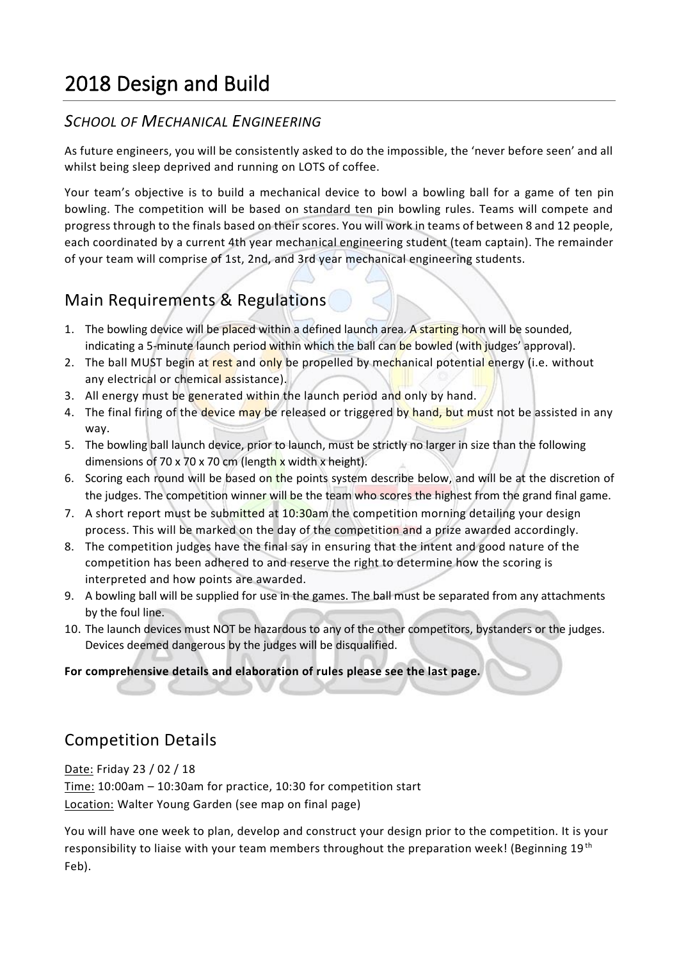# 2018 Design and Build

### *SCHOOL OF MECHANICAL ENGINEERING*

As future engineers, you will be consistently asked to do the impossible, the 'never before seen' and all whilst being sleep deprived and running on LOTS of coffee.

Your team's objective is to build a mechanical device to bowl a bowling ball for a game of ten pin bowling. The competition will be based on standard ten pin bowling rules. Teams will compete and progress through to the finals based on their scores. You will work in teams of between 8 and 12 people, each coordinated by a current 4th year mechanical engineering student (team captain). The remainder of your team will comprise of 1st, 2nd, and 3rd year mechanical engineering students.

# Main Requirements & Regulations

- 1. The bowling device will be placed within a defined launch area. A starting horn will be sounded, indicating a 5-minute launch period within which the ball can be bowled (with judges' approval).
- 2. The ball MUST begin at rest and only be propelled by mechanical potential energy (i.e. without any electrical or chemical assistance).
- 3. All energy must be generated within the launch period and only by hand.
- 4. The final firing of the device may be released or triggered by hand, but must not be assisted in any way.
- 5. The bowling ball launch device, prior to launch, must be strictly no larger in size than the following dimensions of 70 x 70 x 70 cm (length x width x height).
- 6. Scoring each round will be based on the points system describe below, and will be at the discretion of the judges. The competition winner will be the team who scores the highest from the grand final game.
- 7. A short report must be submitted at 10:30am the competition morning detailing your design process. This will be marked on the day of the competition and a prize awarded accordingly.
- 8. The competition judges have the final say in ensuring that the intent and good nature of the competition has been adhered to and reserve the right to determine how the scoring is interpreted and how points are awarded.
- 9. A bowling ball will be supplied for use in the games. The ball must be separated from any attachments by the foul line.
- 10. The launch devices must NOT be hazardous to any of the other competitors, bystanders or the judges. Devices deemed dangerous by the judges will be disqualified.

#### **For comprehensive details and elaboration of rules please see the last page.**

### Competition Details

Date: Friday 23 / 02 / 18

Time: 10:00am – 10:30am for practice, 10:30 for competition start Location: Walter Young Garden (see map on final page)

You will have one week to plan, develop and construct your design prior to the competition. It is your responsibility to liaise with your team members throughout the preparation week! (Beginning 19<sup>th</sup> Feb).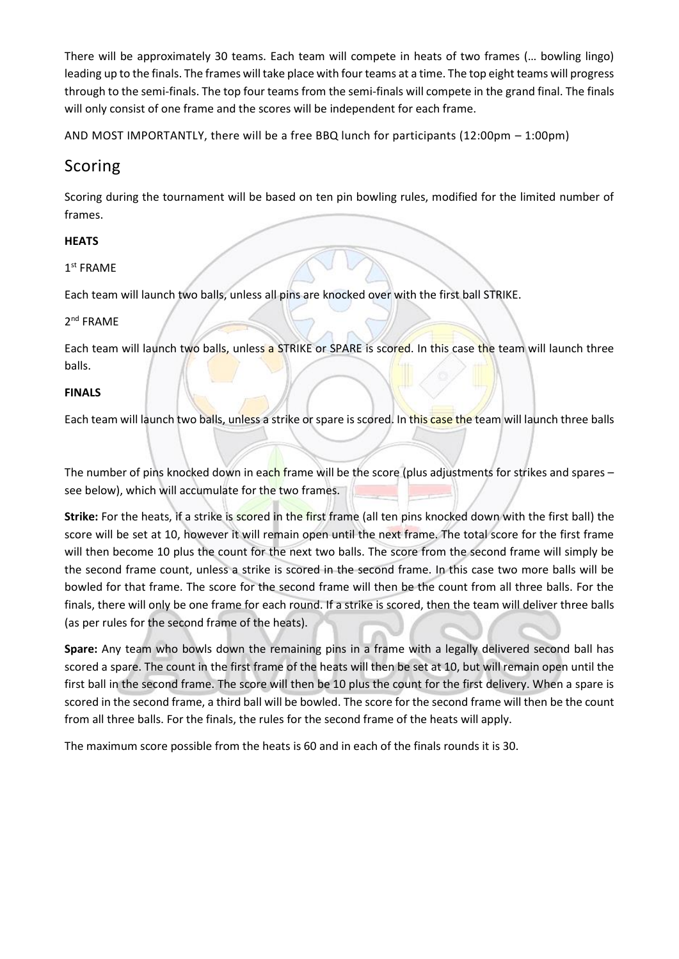There will be approximately 30 teams. Each team will compete in heats of two frames (… bowling lingo) leading up to the finals. The frames will take place with four teams at a time. The top eight teams will progress through to the semi-finals. The top four teams from the semi-finals will compete in the grand final. The finals will only consist of one frame and the scores will be independent for each frame.

AND MOST IMPORTANTLY, there will be a free BBQ lunch for participants (12:00pm – 1:00pm)

### Scoring

Scoring during the tournament will be based on ten pin bowling rules, modified for the limited number of frames.

#### **HEATS**

#### 1 st FRAME

Each team will launch two balls, unless all pins are knocked over with the first ball STRIKE.

#### 2<sup>nd</sup> FRAME

Each team will launch two balls, unless a STRIKE or SPARE is scored. In this case the team will launch three balls.

#### **FINALS**

Each team will launch two balls, unless a strike or spare is scored. In this case the team will launch three balls

The number of pins knocked down in each frame will be the score (plus adjustments for strikes and spares  $$ see below), which will accumulate for the two frames.

**Strike:** For the heats, if a strike is scored in the first frame (all ten pins knocked down with the first ball) the score will be set at 10, however it will remain open until the next frame. The total score for the first frame will then become 10 plus the count for the next two balls. The score from the second frame will simply be the second frame count, unless a strike is scored in the second frame. In this case two more balls will be bowled for that frame. The score for the second frame will then be the count from all three balls. For the finals, there will only be one frame for each round. If a strike is scored, then the team will deliver three balls (as per rules for the second frame of the heats).

**Spare:** Any team who bowls down the remaining pins in a frame with a legally delivered second ball has scored a spare. The count in the first frame of the heats will then be set at 10, but will remain open until the first ball in the second frame. The score will then be 10 plus the count for the first delivery. When a spare is scored in the second frame, a third ball will be bowled. The score for the second frame will then be the count from all three balls. For the finals, the rules for the second frame of the heats will apply.

The maximum score possible from the heats is 60 and in each of the finals rounds it is 30.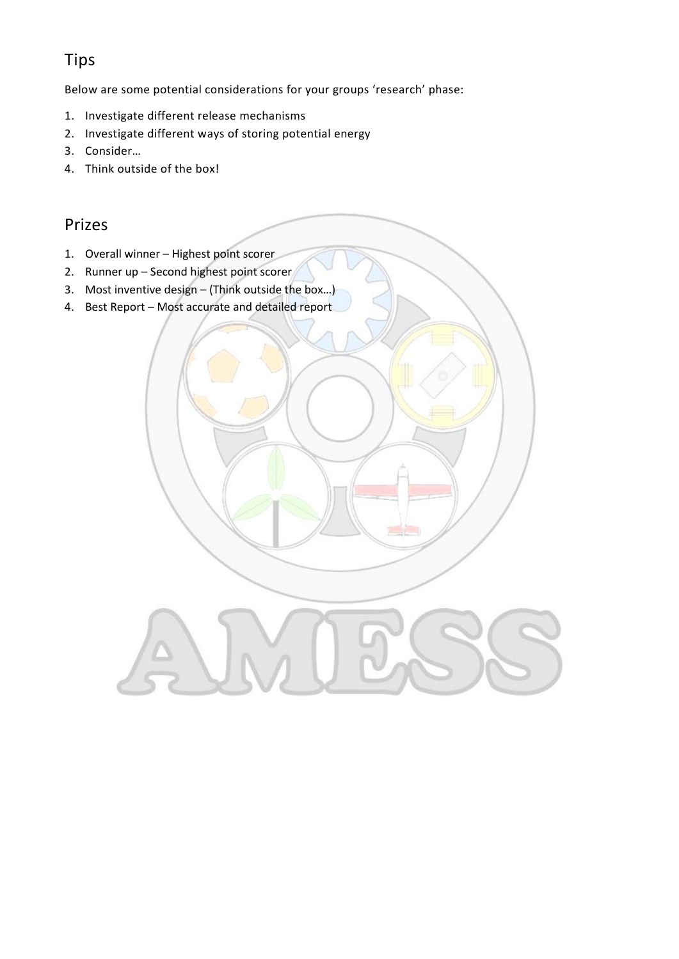# Tips

Below are some potential considerations for your groups 'research' phase:

- 1. Investigate different release mechanisms
- 2. Investigate different ways of storing potential energy
- 3. Consider…
- 4. Think outside of the box!

### Prizes

- 1. Overall winner Highest point scorer
- 2. Runner up Second highest point scorer
- 3. Most inventive design (Think outside the box…)
- 4. Best Report Most accurate and detailed report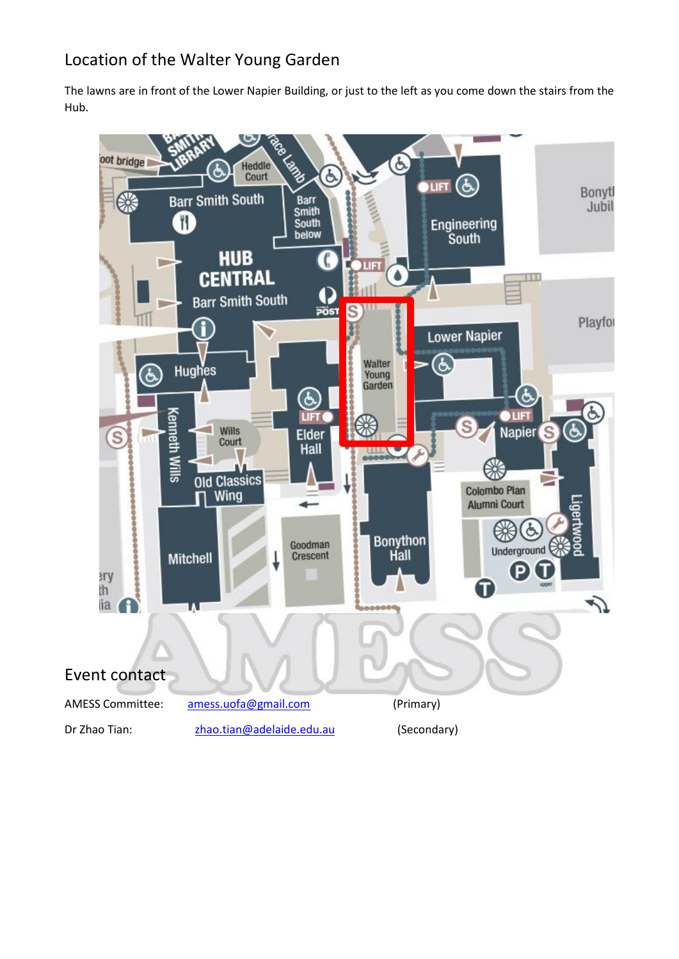# Location of the Walter Young Garden

The lawns are in front of the Lower Napier Building, or just to the left as you come down the stairs from the Hub.

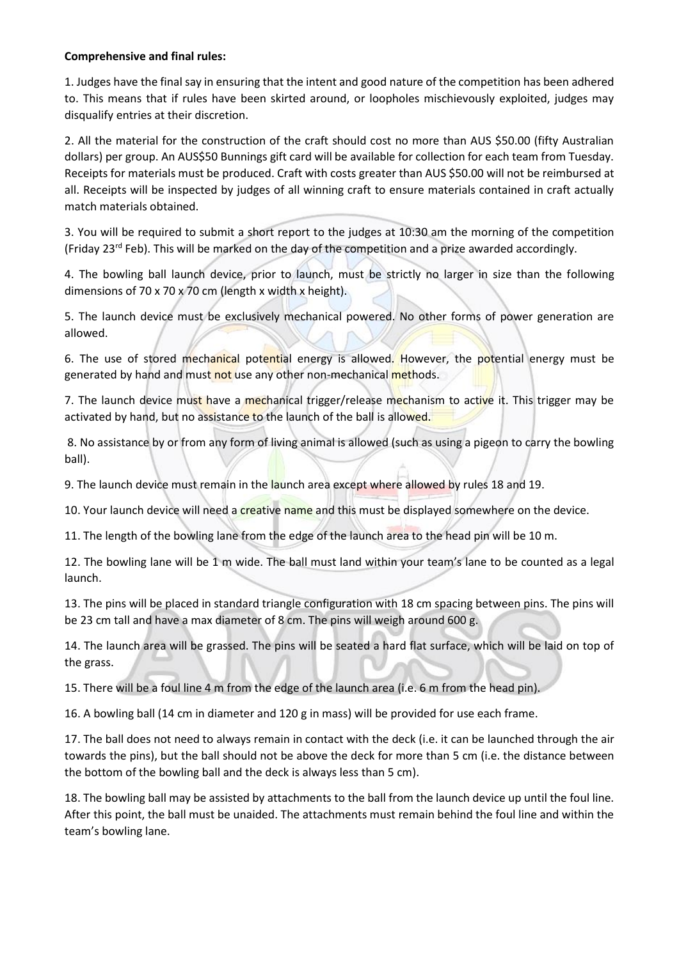#### **Comprehensive and final rules:**

1. Judges have the final say in ensuring that the intent and good nature of the competition has been adhered to. This means that if rules have been skirted around, or loopholes mischievously exploited, judges may disqualify entries at their discretion.

2. All the material for the construction of the craft should cost no more than AUS \$50.00 (fifty Australian dollars) per group. An AUS\$50 Bunnings gift card will be available for collection for each team from Tuesday. Receipts for materials must be produced. Craft with costs greater than AUS \$50.00 will not be reimbursed at all. Receipts will be inspected by judges of all winning craft to ensure materials contained in craft actually match materials obtained.

3. You will be required to submit a short report to the judges at 10:30 am the morning of the competition (Friday 23<sup>rd</sup> Feb). This will be marked on the day of the competition and a prize awarded accordingly.

4. The bowling ball launch device, prior to launch, must be strictly no larger in size than the following dimensions of 70 x 70 x 70 cm (length x width x height).

5. The launch device must be exclusively mechanical powered. No other forms of power generation are allowed.

6. The use of stored mechanical potential energy is allowed. However, the potential energy must be generated by hand and must not use any other non-mechanical methods.

7. The launch device must have a mechanical trigger/release mechanism to active it. This trigger may be activated by hand, but no assistance to the launch of the ball is allowed.

8. No assistance by or from any form of living animal is allowed (such as using a pigeon to carry the bowling ball).

9. The launch device must remain in the launch area except where allowed by rules 18 and 19.

10. Your launch device will need a creative name and this must be displayed somewhere on the device.

11. The length of the bowling lane from the edge of the launch area to the head pin will be 10 m.

12. The bowling lane will be 1 m wide. The ball must land within your team's lane to be counted as a legal launch.

13. The pins will be placed in standard triangle configuration with 18 cm spacing between pins. The pins will be 23 cm tall and have a max diameter of 8 cm. The pins will weigh around 600 g.

14. The launch area will be grassed. The pins will be seated a hard flat surface, which will be laid on top of the grass.

15. There will be a foul line 4 m from the edge of the launch area (i.e. 6 m from the head pin).

16. A bowling ball (14 cm in diameter and 120 g in mass) will be provided for use each frame.

17. The ball does not need to always remain in contact with the deck (i.e. it can be launched through the air towards the pins), but the ball should not be above the deck for more than 5 cm (i.e. the distance between the bottom of the bowling ball and the deck is always less than 5 cm).

18. The bowling ball may be assisted by attachments to the ball from the launch device up until the foul line. After this point, the ball must be unaided. The attachments must remain behind the foul line and within the team's bowling lane.